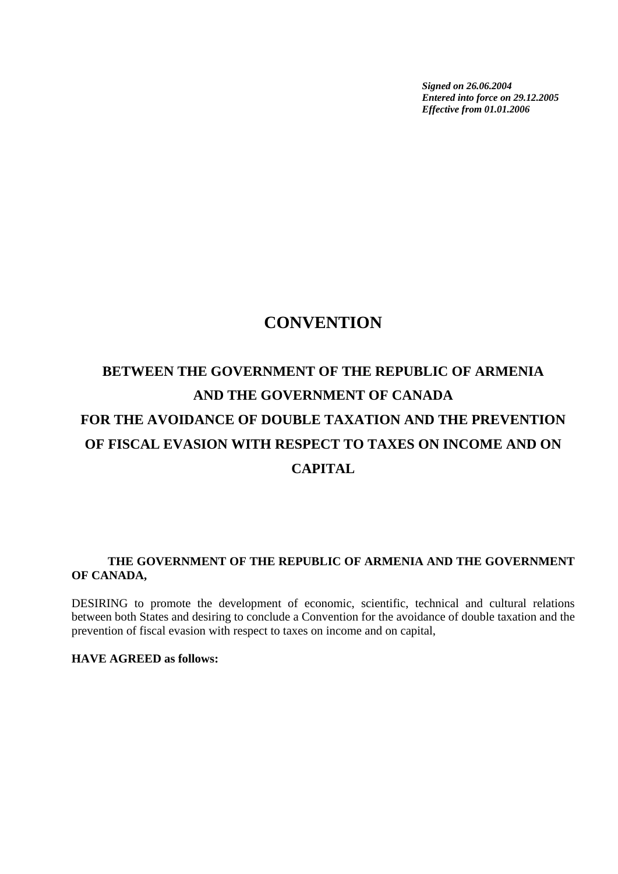*Signed on 26.06.2004 Entered into force on 29.12.2005 Effective from 01.01.2006*

# **CONVENTION**

# **BETWEEN THE GOVERNMENT OF THE REPUBLIC OF ARMENIA AND THE GOVERNMENT OF CANADA FOR THE AVOIDANCE OF DOUBLE TAXATION AND THE PREVENTION OF FISCAL EVASION WITH RESPECT TO TAXES ON INCOME AND ON CAPITAL**

# **THE GOVERNMENT OF THE REPUBLIC OF ARMENIA AND THE GOVERNMENT OF CANADA,**

DESIRING to promote the development of economic, scientific, technical and cultural relations between both States and desiring to conclude a Convention for the avoidance of double taxation and the prevention of fiscal evasion with respect to taxes on income and on capital,

# **HAVE AGREED as follows:**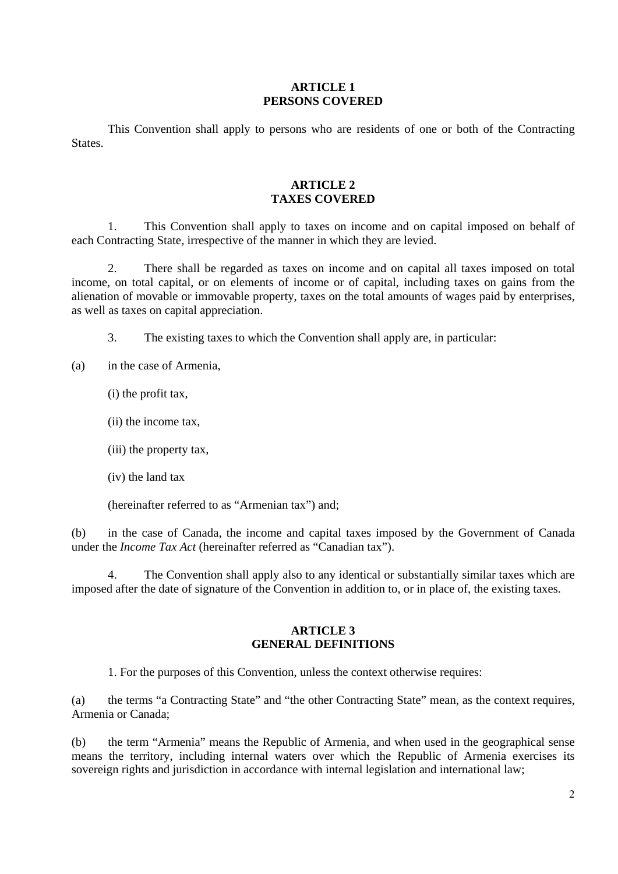#### **ARTICLE 1 PERSONS COVERED**

This Convention shall apply to persons who are residents of one or both of the Contracting States.

#### **ARTICLE 2 TAXES COVERED**

1. This Convention shall apply to taxes on income and on capital imposed on behalf of each Contracting State, irrespective of the manner in which they are levied.

2. There shall be regarded as taxes on income and on capital all taxes imposed on total income, on total capital, or on elements of income or of capital, including taxes on gains from the alienation of movable or immovable property, taxes on the total amounts of wages paid by enterprises, as well as taxes on capital appreciation.

- 3. The existing taxes to which the Convention shall apply are, in particular:
- (a) in the case of Armenia,
	- (i) the profit tax,
	- (ii) the income tax,
	- (iii) the property tax,
	- (iv) the land tax

(hereinafter referred to as "Armenian tax") and;

(b) in the case of Canada, the income and capital taxes imposed by the Government of Canada under the *Income Tax Act* (hereinafter referred as "Canadian tax").

4. The Convention shall apply also to any identical or substantially similar taxes which are imposed after the date of signature of the Convention in addition to, or in place of, the existing taxes.

#### **ARTICLE 3 GENERAL DEFINITIONS**

1. For the purposes of this Convention, unless the context otherwise requires:

(a) the terms "a Contracting State" and "the other Contracting State" mean, as the context requires, Armenia or Canada;

(b) the term "Armenia" means the Republic of Armenia, and when used in the geographical sense means the territory, including internal waters over which the Republic of Armenia exercises its sovereign rights and jurisdiction in accordance with internal legislation and international law;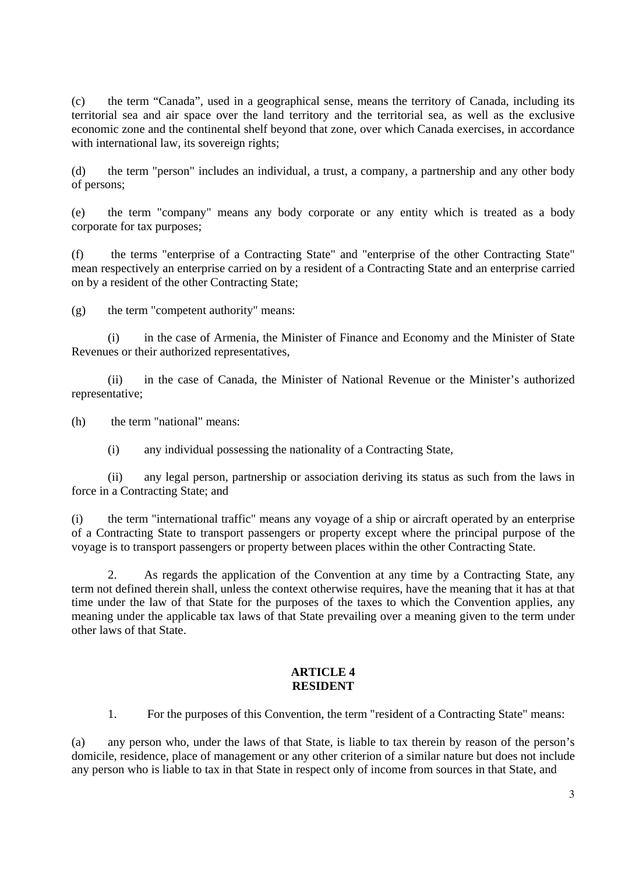(c) the term "Canada", used in a geographical sense, means the territory of Canada, including its territorial sea and air space over the land territory and the territorial sea, as well as the exclusive economic zone and the continental shelf beyond that zone, over which Canada exercises, in accordance with international law, its sovereign rights;

(d) the term "person" includes an individual, a trust, a company, a partnership and any other body of persons;

(e) the term "company" means any body corporate or any entity which is treated as a body corporate for tax purposes;

(f) the terms "enterprise of a Contracting State" and "enterprise of the other Contracting State" mean respectively an enterprise carried on by a resident of a Contracting State and an enterprise carried on by a resident of the other Contracting State;

(g) the term "competent authority" means:

(i) in the case of Armenia, the Minister of Finance and Economy and the Minister of State Revenues or their authorized representatives,

(ii) in the case of Canada, the Minister of National Revenue or the Minister's authorized representative;

(h) the term "national" means:

(i) any individual possessing the nationality of a Contracting State,

(ii) any legal person, partnership or association deriving its status as such from the laws in force in a Contracting State; and

(i) the term "international traffic" means any voyage of a ship or aircraft operated by an enterprise of a Contracting State to transport passengers or property except where the principal purpose of the voyage is to transport passengers or property between places within the other Contracting State.

2. As regards the application of the Convention at any time by a Contracting State, any term not defined therein shall, unless the context otherwise requires, have the meaning that it has at that time under the law of that State for the purposes of the taxes to which the Convention applies, any meaning under the applicable tax laws of that State prevailing over a meaning given to the term under other laws of that State.

#### **ARTICLE 4 RESIDENT**

1. For the purposes of this Convention, the term "resident of a Contracting State" means:

(a) any person who, under the laws of that State, is liable to tax therein by reason of the person's domicile, residence, place of management or any other criterion of a similar nature but does not include any person who is liable to tax in that State in respect only of income from sources in that State, and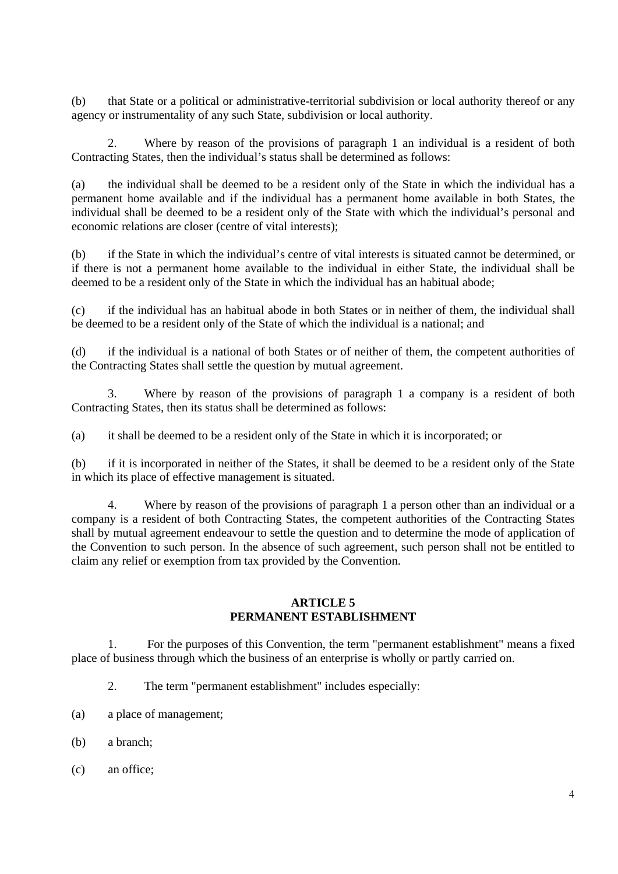(b) that State or a political or administrative-territorial subdivision or local authority thereof or any agency or instrumentality of any such State, subdivision or local authority.

2. Where by reason of the provisions of paragraph 1 an individual is a resident of both Contracting States, then the individual's status shall be determined as follows:

(a) the individual shall be deemed to be a resident only of the State in which the individual has a permanent home available and if the individual has a permanent home available in both States, the individual shall be deemed to be a resident only of the State with which the individual's personal and economic relations are closer (centre of vital interests);

(b) if the State in which the individual's centre of vital interests is situated cannot be determined, or if there is not a permanent home available to the individual in either State, the individual shall be deemed to be a resident only of the State in which the individual has an habitual abode;

(c) if the individual has an habitual abode in both States or in neither of them, the individual shall be deemed to be a resident only of the State of which the individual is a national; and

(d) if the individual is a national of both States or of neither of them, the competent authorities of the Contracting States shall settle the question by mutual agreement.

3. Where by reason of the provisions of paragraph 1 a company is a resident of both Contracting States, then its status shall be determined as follows:

(a) it shall be deemed to be a resident only of the State in which it is incorporated; or

(b) if it is incorporated in neither of the States, it shall be deemed to be a resident only of the State in which its place of effective management is situated.

4. Where by reason of the provisions of paragraph 1 a person other than an individual or a company is a resident of both Contracting States, the competent authorities of the Contracting States shall by mutual agreement endeavour to settle the question and to determine the mode of application of the Convention to such person. In the absence of such agreement, such person shall not be entitled to claim any relief or exemption from tax provided by the Convention.

#### **ARTICLE 5 PERMANENT ESTABLISHMENT**

1. For the purposes of this Convention, the term "permanent establishment" means a fixed place of business through which the business of an enterprise is wholly or partly carried on.

2. The term "permanent establishment" includes especially:

- (a) a place of management;
- (b) a branch;
- (c) an office;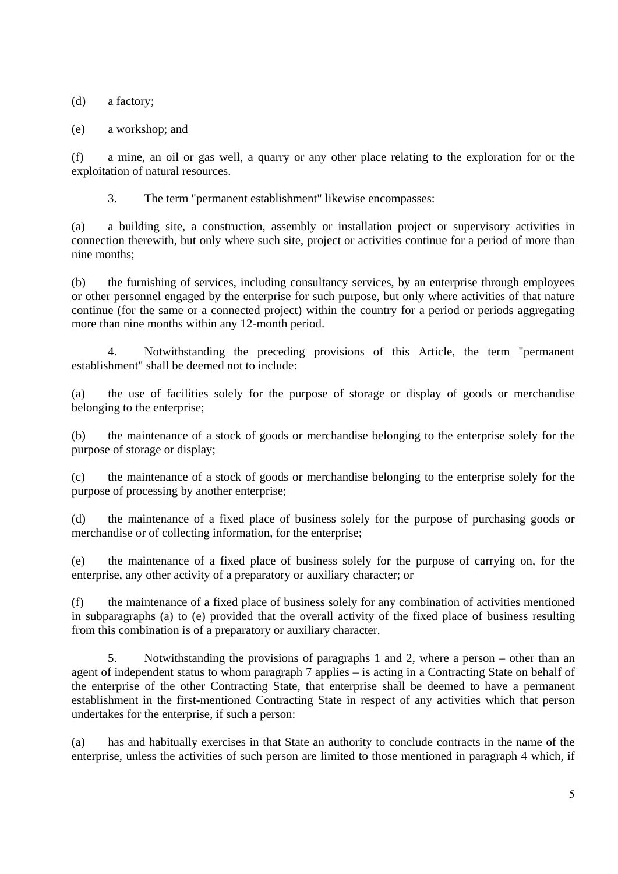(d) a factory;

(e) a workshop; and

(f) a mine, an oil or gas well, a quarry or any other place relating to the exploration for or the exploitation of natural resources.

3. The term "permanent establishment" likewise encompasses:

(a) a building site, a construction, assembly or installation project or supervisory activities in connection therewith, but only where such site, project or activities continue for a period of more than nine months;

(b) the furnishing of services, including consultancy services, by an enterprise through employees or other personnel engaged by the enterprise for such purpose, but only where activities of that nature continue (for the same or a connected project) within the country for a period or periods aggregating more than nine months within any 12-month period.

4. Notwithstanding the preceding provisions of this Article, the term "permanent establishment" shall be deemed not to include:

(a) the use of facilities solely for the purpose of storage or display of goods or merchandise belonging to the enterprise;

(b) the maintenance of a stock of goods or merchandise belonging to the enterprise solely for the purpose of storage or display;

(c) the maintenance of a stock of goods or merchandise belonging to the enterprise solely for the purpose of processing by another enterprise;

(d) the maintenance of a fixed place of business solely for the purpose of purchasing goods or merchandise or of collecting information, for the enterprise;

(e) the maintenance of a fixed place of business solely for the purpose of carrying on, for the enterprise, any other activity of a preparatory or auxiliary character; or

(f) the maintenance of a fixed place of business solely for any combination of activities mentioned in subparagraphs (a) to (e) provided that the overall activity of the fixed place of business resulting from this combination is of a preparatory or auxiliary character.

5. Notwithstanding the provisions of paragraphs 1 and 2, where a person – other than an agent of independent status to whom paragraph 7 applies – is acting in a Contracting State on behalf of the enterprise of the other Contracting State, that enterprise shall be deemed to have a permanent establishment in the first-mentioned Contracting State in respect of any activities which that person undertakes for the enterprise, if such a person:

(a) has and habitually exercises in that State an authority to conclude contracts in the name of the enterprise, unless the activities of such person are limited to those mentioned in paragraph 4 which, if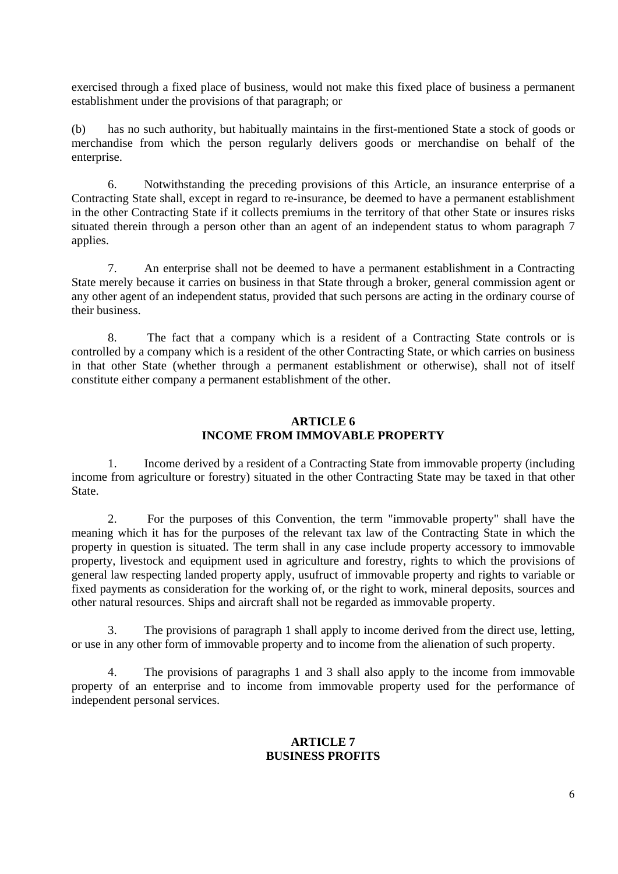exercised through a fixed place of business, would not make this fixed place of business a permanent establishment under the provisions of that paragraph; or

(b) has no such authority, but habitually maintains in the first-mentioned State a stock of goods or merchandise from which the person regularly delivers goods or merchandise on behalf of the enterprise.

6. Notwithstanding the preceding provisions of this Article, an insurance enterprise of a Contracting State shall, except in regard to re-insurance, be deemed to have a permanent establishment in the other Contracting State if it collects premiums in the territory of that other State or insures risks situated therein through a person other than an agent of an independent status to whom paragraph 7 applies.

7. An enterprise shall not be deemed to have a permanent establishment in a Contracting State merely because it carries on business in that State through a broker, general commission agent or any other agent of an independent status, provided that such persons are acting in the ordinary course of their business.

8. The fact that a company which is a resident of a Contracting State controls or is controlled by a company which is a resident of the other Contracting State, or which carries on business in that other State (whether through a permanent establishment or otherwise), shall not of itself constitute either company a permanent establishment of the other.

#### **ARTICLE 6 INCOME FROM IMMOVABLE PROPERTY**

1. Income derived by a resident of a Contracting State from immovable property (including income from agriculture or forestry) situated in the other Contracting State may be taxed in that other State.

2. For the purposes of this Convention, the term "immovable property" shall have the meaning which it has for the purposes of the relevant tax law of the Contracting State in which the property in question is situated. The term shall in any case include property accessory to immovable property, livestock and equipment used in agriculture and forestry, rights to which the provisions of general law respecting landed property apply, usufruct of immovable property and rights to variable or fixed payments as consideration for the working of, or the right to work, mineral deposits, sources and other natural resources. Ships and aircraft shall not be regarded as immovable property.

3. The provisions of paragraph 1 shall apply to income derived from the direct use, letting, or use in any other form of immovable property and to income from the alienation of such property.

The provisions of paragraphs 1 and 3 shall also apply to the income from immovable property of an enterprise and to income from immovable property used for the performance of independent personal services.

#### **ARTICLE 7 BUSINESS PROFITS**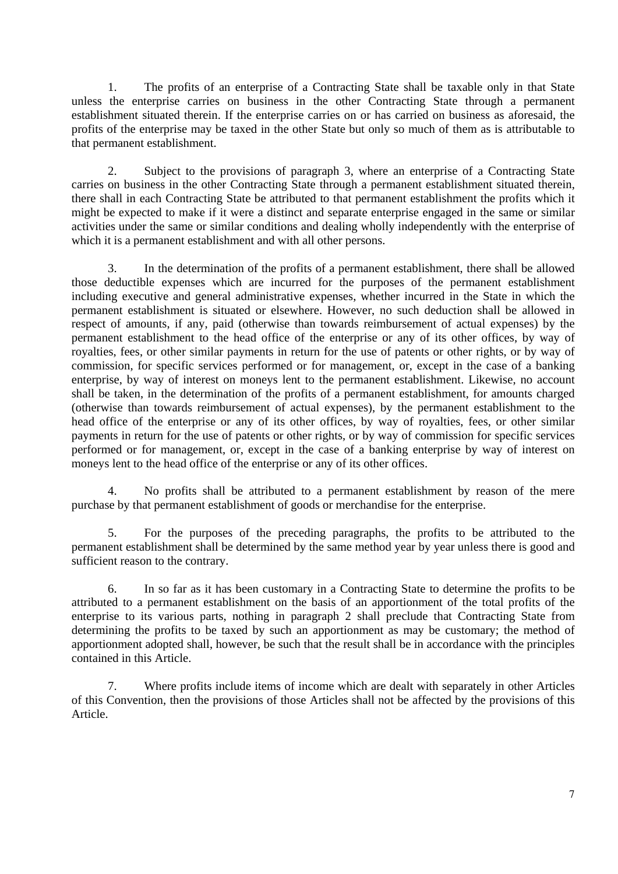1. The profits of an enterprise of a Contracting State shall be taxable only in that State unless the enterprise carries on business in the other Contracting State through a permanent establishment situated therein. If the enterprise carries on or has carried on business as aforesaid, the profits of the enterprise may be taxed in the other State but only so much of them as is attributable to that permanent establishment.

2. Subject to the provisions of paragraph 3, where an enterprise of a Contracting State carries on business in the other Contracting State through a permanent establishment situated therein, there shall in each Contracting State be attributed to that permanent establishment the profits which it might be expected to make if it were a distinct and separate enterprise engaged in the same or similar activities under the same or similar conditions and dealing wholly independently with the enterprise of which it is a permanent establishment and with all other persons.

3. In the determination of the profits of a permanent establishment, there shall be allowed those deductible expenses which are incurred for the purposes of the permanent establishment including executive and general administrative expenses, whether incurred in the State in which the permanent establishment is situated or elsewhere. However, no such deduction shall be allowed in respect of amounts, if any, paid (otherwise than towards reimbursement of actual expenses) by the permanent establishment to the head office of the enterprise or any of its other offices, by way of royalties, fees, or other similar payments in return for the use of patents or other rights, or by way of commission, for specific services performed or for management, or, except in the case of a banking enterprise, by way of interest on moneys lent to the permanent establishment. Likewise, no account shall be taken, in the determination of the profits of a permanent establishment, for amounts charged (otherwise than towards reimbursement of actual expenses), by the permanent establishment to the head office of the enterprise or any of its other offices, by way of royalties, fees, or other similar payments in return for the use of patents or other rights, or by way of commission for specific services performed or for management, or, except in the case of a banking enterprise by way of interest on moneys lent to the head office of the enterprise or any of its other offices.

4. No profits shall be attributed to a permanent establishment by reason of the mere purchase by that permanent establishment of goods or merchandise for the enterprise.

5. For the purposes of the preceding paragraphs, the profits to be attributed to the permanent establishment shall be determined by the same method year by year unless there is good and sufficient reason to the contrary.

6. In so far as it has been customary in a Contracting State to determine the profits to be attributed to a permanent establishment on the basis of an apportionment of the total profits of the enterprise to its various parts, nothing in paragraph 2 shall preclude that Contracting State from determining the profits to be taxed by such an apportionment as may be customary; the method of apportionment adopted shall, however, be such that the result shall be in accordance with the principles contained in this Article.

7. Where profits include items of income which are dealt with separately in other Articles of this Convention, then the provisions of those Articles shall not be affected by the provisions of this Article.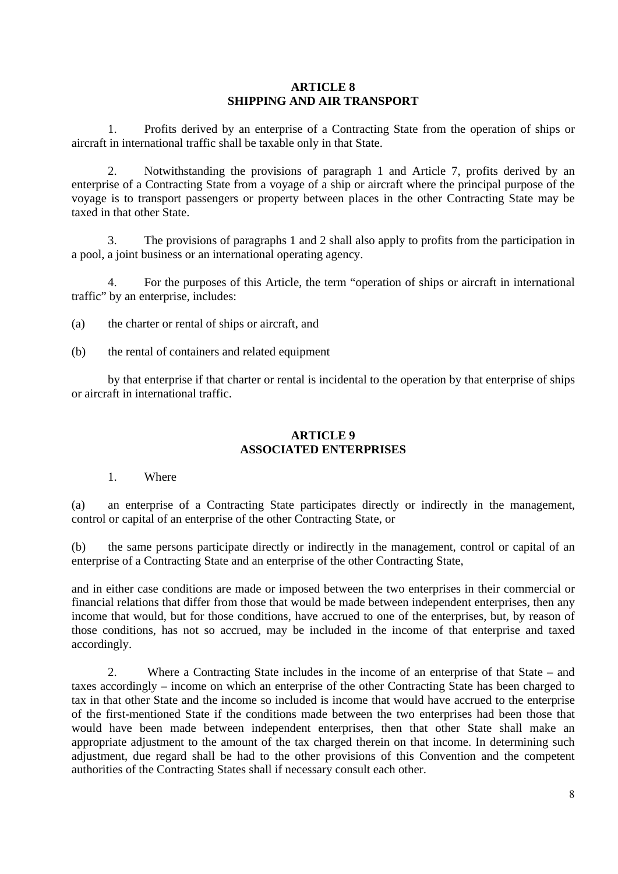#### **ARTICLE 8 SHIPPING AND AIR TRANSPORT**

1. Profits derived by an enterprise of a Contracting State from the operation of ships or aircraft in international traffic shall be taxable only in that State.

2. Notwithstanding the provisions of paragraph 1 and Article 7, profits derived by an enterprise of a Contracting State from a voyage of a ship or aircraft where the principal purpose of the voyage is to transport passengers or property between places in the other Contracting State may be taxed in that other State.

3. The provisions of paragraphs 1 and 2 shall also apply to profits from the participation in a pool, a joint business or an international operating agency.

4. For the purposes of this Article, the term "operation of ships or aircraft in international traffic" by an enterprise, includes:

(a) the charter or rental of ships or aircraft, and

(b) the rental of containers and related equipment

by that enterprise if that charter or rental is incidental to the operation by that enterprise of ships or aircraft in international traffic.

# **ARTICLE 9 ASSOCIATED ENTERPRISES**

# 1. Where

(a) an enterprise of a Contracting State participates directly or indirectly in the management, control or capital of an enterprise of the other Contracting State, or

(b) the same persons participate directly or indirectly in the management, control or capital of an enterprise of a Contracting State and an enterprise of the other Contracting State,

and in either case conditions are made or imposed between the two enterprises in their commercial or financial relations that differ from those that would be made between independent enterprises, then any income that would, but for those conditions, have accrued to one of the enterprises, but, by reason of those conditions, has not so accrued, may be included in the income of that enterprise and taxed accordingly.

2. Where a Contracting State includes in the income of an enterprise of that State – and taxes accordingly – income on which an enterprise of the other Contracting State has been charged to tax in that other State and the income so included is income that would have accrued to the enterprise of the first-mentioned State if the conditions made between the two enterprises had been those that would have been made between independent enterprises, then that other State shall make an appropriate adjustment to the amount of the tax charged therein on that income. In determining such adjustment, due regard shall be had to the other provisions of this Convention and the competent authorities of the Contracting States shall if necessary consult each other.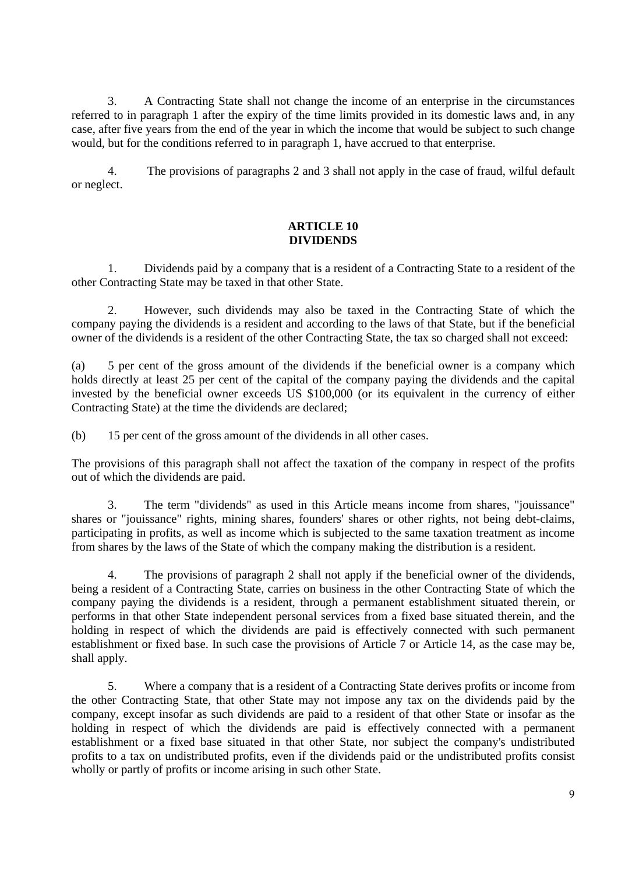3. A Contracting State shall not change the income of an enterprise in the circumstances referred to in paragraph 1 after the expiry of the time limits provided in its domestic laws and, in any case, after five years from the end of the year in which the income that would be subject to such change would, but for the conditions referred to in paragraph 1, have accrued to that enterprise.

4. The provisions of paragraphs 2 and 3 shall not apply in the case of fraud, wilful default or neglect.

#### **ARTICLE 10 DIVIDENDS**

1. Dividends paid by a company that is a resident of a Contracting State to a resident of the other Contracting State may be taxed in that other State.

2. However, such dividends may also be taxed in the Contracting State of which the company paying the dividends is a resident and according to the laws of that State, but if the beneficial owner of the dividends is a resident of the other Contracting State, the tax so charged shall not exceed:

(a) 5 per cent of the gross amount of the dividends if the beneficial owner is a company which holds directly at least 25 per cent of the capital of the company paying the dividends and the capital invested by the beneficial owner exceeds US \$100,000 (or its equivalent in the currency of either Contracting State) at the time the dividends are declared;

(b) 15 per cent of the gross amount of the dividends in all other cases.

The provisions of this paragraph shall not affect the taxation of the company in respect of the profits out of which the dividends are paid.

3. The term "dividends" as used in this Article means income from shares, "jouissance" shares or "jouissance" rights, mining shares, founders' shares or other rights, not being debt-claims, participating in profits, as well as income which is subjected to the same taxation treatment as income from shares by the laws of the State of which the company making the distribution is a resident.

4. The provisions of paragraph 2 shall not apply if the beneficial owner of the dividends, being a resident of a Contracting State, carries on business in the other Contracting State of which the company paying the dividends is a resident, through a permanent establishment situated therein, or performs in that other State independent personal services from a fixed base situated therein, and the holding in respect of which the dividends are paid is effectively connected with such permanent establishment or fixed base. In such case the provisions of Article 7 or Article 14, as the case may be, shall apply.

5. Where a company that is a resident of a Contracting State derives profits or income from the other Contracting State, that other State may not impose any tax on the dividends paid by the company, except insofar as such dividends are paid to a resident of that other State or insofar as the holding in respect of which the dividends are paid is effectively connected with a permanent establishment or a fixed base situated in that other State, nor subject the company's undistributed profits to a tax on undistributed profits, even if the dividends paid or the undistributed profits consist wholly or partly of profits or income arising in such other State.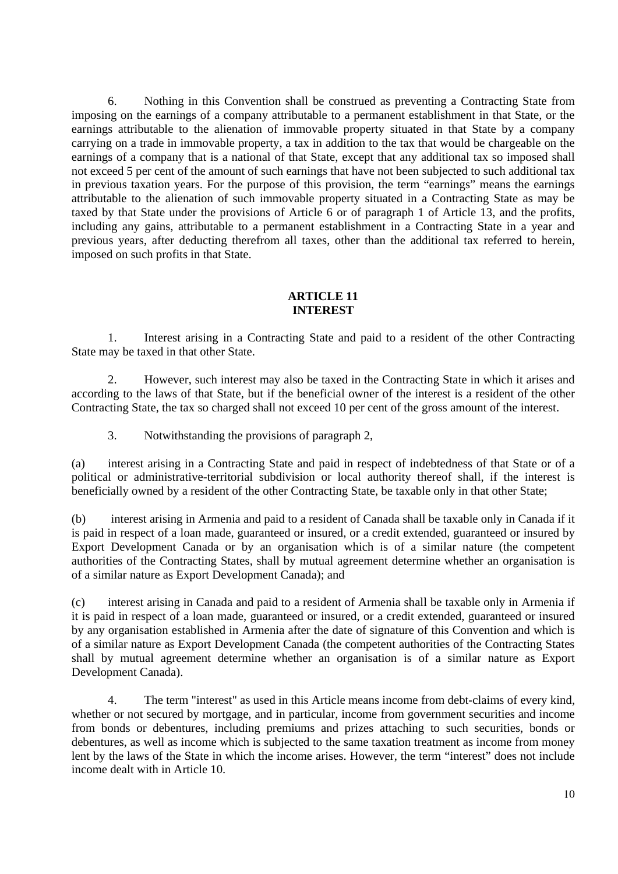6. Nothing in this Convention shall be construed as preventing a Contracting State from imposing on the earnings of a company attributable to a permanent establishment in that State, or the earnings attributable to the alienation of immovable property situated in that State by a company carrying on a trade in immovable property, a tax in addition to the tax that would be chargeable on the earnings of a company that is a national of that State, except that any additional tax so imposed shall not exceed 5 per cent of the amount of such earnings that have not been subjected to such additional tax in previous taxation years. For the purpose of this provision, the term "earnings" means the earnings attributable to the alienation of such immovable property situated in a Contracting State as may be taxed by that State under the provisions of Article 6 or of paragraph 1 of Article 13, and the profits, including any gains, attributable to a permanent establishment in a Contracting State in a year and previous years, after deducting therefrom all taxes, other than the additional tax referred to herein, imposed on such profits in that State.

# **ARTICLE 11 INTEREST**

1. Interest arising in a Contracting State and paid to a resident of the other Contracting State may be taxed in that other State.

2. However, such interest may also be taxed in the Contracting State in which it arises and according to the laws of that State, but if the beneficial owner of the interest is a resident of the other Contracting State, the tax so charged shall not exceed 10 per cent of the gross amount of the interest.

3. Notwithstanding the provisions of paragraph 2,

(a) interest arising in a Contracting State and paid in respect of indebtedness of that State or of a political or administrative-territorial subdivision or local authority thereof shall, if the interest is beneficially owned by a resident of the other Contracting State, be taxable only in that other State;

(b) interest arising in Armenia and paid to a resident of Canada shall be taxable only in Canada if it is paid in respect of a loan made, guaranteed or insured, or a credit extended, guaranteed or insured by Export Development Canada or by an organisation which is of a similar nature (the competent authorities of the Contracting States, shall by mutual agreement determine whether an organisation is of a similar nature as Export Development Canada); and

(c) interest arising in Canada and paid to a resident of Armenia shall be taxable only in Armenia if it is paid in respect of a loan made, guaranteed or insured, or a credit extended, guaranteed or insured by any organisation established in Armenia after the date of signature of this Convention and which is of a similar nature as Export Development Canada (the competent authorities of the Contracting States shall by mutual agreement determine whether an organisation is of a similar nature as Export Development Canada).

4. The term "interest" as used in this Article means income from debt-claims of every kind, whether or not secured by mortgage, and in particular, income from government securities and income from bonds or debentures, including premiums and prizes attaching to such securities, bonds or debentures, as well as income which is subjected to the same taxation treatment as income from money lent by the laws of the State in which the income arises. However, the term "interest" does not include income dealt with in Article 10.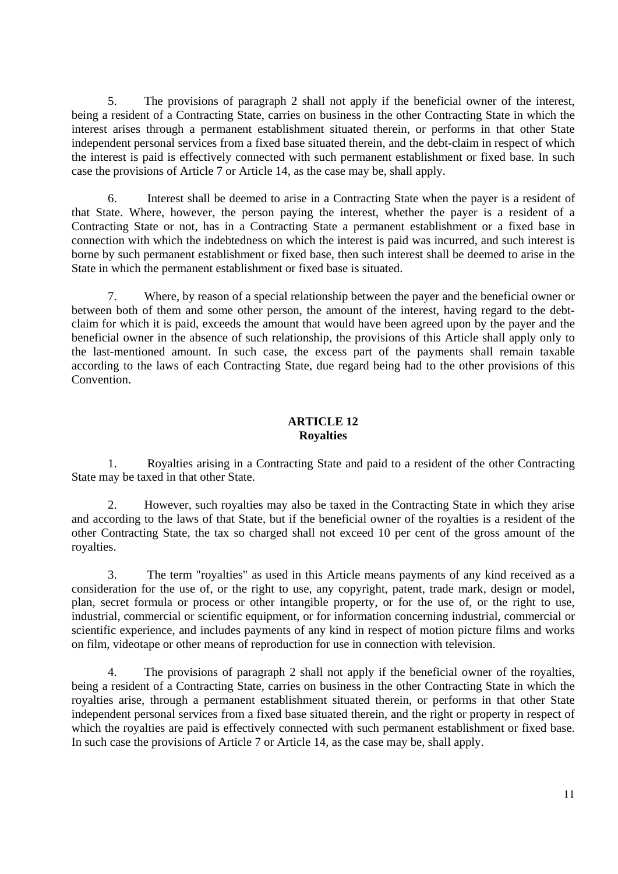5. The provisions of paragraph 2 shall not apply if the beneficial owner of the interest, being a resident of a Contracting State, carries on business in the other Contracting State in which the interest arises through a permanent establishment situated therein, or performs in that other State independent personal services from a fixed base situated therein, and the debt-claim in respect of which the interest is paid is effectively connected with such permanent establishment or fixed base. In such case the provisions of Article 7 or Article 14, as the case may be, shall apply.

6. Interest shall be deemed to arise in a Contracting State when the payer is a resident of that State. Where, however, the person paying the interest, whether the payer is a resident of a Contracting State or not, has in a Contracting State a permanent establishment or a fixed base in connection with which the indebtedness on which the interest is paid was incurred, and such interest is borne by such permanent establishment or fixed base, then such interest shall be deemed to arise in the State in which the permanent establishment or fixed base is situated.

7. Where, by reason of a special relationship between the payer and the beneficial owner or between both of them and some other person, the amount of the interest, having regard to the debtclaim for which it is paid, exceeds the amount that would have been agreed upon by the payer and the beneficial owner in the absence of such relationship, the provisions of this Article shall apply only to the last-mentioned amount. In such case, the excess part of the payments shall remain taxable according to the laws of each Contracting State, due regard being had to the other provisions of this Convention.

#### **ARTICLE 12 Royalties**

1. Royalties arising in a Contracting State and paid to a resident of the other Contracting State may be taxed in that other State.

2. However, such royalties may also be taxed in the Contracting State in which they arise and according to the laws of that State, but if the beneficial owner of the royalties is a resident of the other Contracting State, the tax so charged shall not exceed 10 per cent of the gross amount of the royalties.

3. The term "royalties" as used in this Article means payments of any kind received as a consideration for the use of, or the right to use, any copyright, patent, trade mark, design or model, plan, secret formula or process or other intangible property, or for the use of, or the right to use, industrial, commercial or scientific equipment, or for information concerning industrial, commercial or scientific experience, and includes payments of any kind in respect of motion picture films and works on film, videotape or other means of reproduction for use in connection with television.

4. The provisions of paragraph 2 shall not apply if the beneficial owner of the royalties, being a resident of a Contracting State, carries on business in the other Contracting State in which the royalties arise, through a permanent establishment situated therein, or performs in that other State independent personal services from a fixed base situated therein, and the right or property in respect of which the royalties are paid is effectively connected with such permanent establishment or fixed base. In such case the provisions of Article 7 or Article 14, as the case may be, shall apply.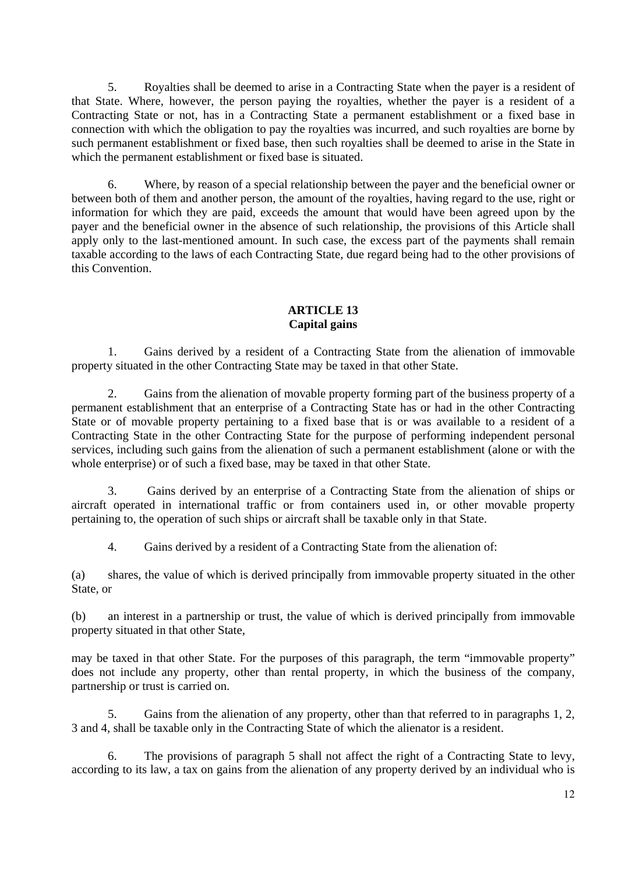5. Royalties shall be deemed to arise in a Contracting State when the payer is a resident of that State. Where, however, the person paying the royalties, whether the payer is a resident of a Contracting State or not, has in a Contracting State a permanent establishment or a fixed base in connection with which the obligation to pay the royalties was incurred, and such royalties are borne by such permanent establishment or fixed base, then such royalties shall be deemed to arise in the State in which the permanent establishment or fixed base is situated.

6. Where, by reason of a special relationship between the payer and the beneficial owner or between both of them and another person, the amount of the royalties, having regard to the use, right or information for which they are paid, exceeds the amount that would have been agreed upon by the payer and the beneficial owner in the absence of such relationship, the provisions of this Article shall apply only to the last-mentioned amount. In such case, the excess part of the payments shall remain taxable according to the laws of each Contracting State, due regard being had to the other provisions of this Convention.

# **ARTICLE 13 Capital gains**

1. Gains derived by a resident of a Contracting State from the alienation of immovable property situated in the other Contracting State may be taxed in that other State.

2. Gains from the alienation of movable property forming part of the business property of a permanent establishment that an enterprise of a Contracting State has or had in the other Contracting State or of movable property pertaining to a fixed base that is or was available to a resident of a Contracting State in the other Contracting State for the purpose of performing independent personal services, including such gains from the alienation of such a permanent establishment (alone or with the whole enterprise) or of such a fixed base, may be taxed in that other State.

3. Gains derived by an enterprise of a Contracting State from the alienation of ships or aircraft operated in international traffic or from containers used in, or other movable property pertaining to, the operation of such ships or aircraft shall be taxable only in that State.

4. Gains derived by a resident of a Contracting State from the alienation of:

(a) shares, the value of which is derived principally from immovable property situated in the other State, or

(b) an interest in a partnership or trust, the value of which is derived principally from immovable property situated in that other State,

may be taxed in that other State. For the purposes of this paragraph, the term "immovable property" does not include any property, other than rental property, in which the business of the company, partnership or trust is carried on.

5. Gains from the alienation of any property, other than that referred to in paragraphs 1, 2, 3 and 4, shall be taxable only in the Contracting State of which the alienator is a resident.

6. The provisions of paragraph 5 shall not affect the right of a Contracting State to levy, according to its law, a tax on gains from the alienation of any property derived by an individual who is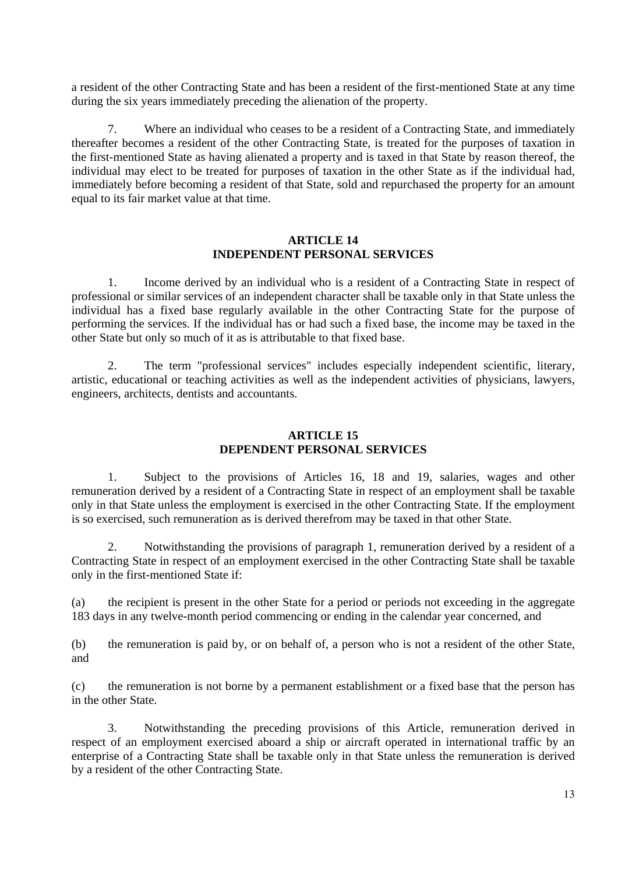a resident of the other Contracting State and has been a resident of the first-mentioned State at any time during the six years immediately preceding the alienation of the property.

7. Where an individual who ceases to be a resident of a Contracting State, and immediately thereafter becomes a resident of the other Contracting State, is treated for the purposes of taxation in the first-mentioned State as having alienated a property and is taxed in that State by reason thereof, the individual may elect to be treated for purposes of taxation in the other State as if the individual had, immediately before becoming a resident of that State, sold and repurchased the property for an amount equal to its fair market value at that time.

#### **ARTICLE 14 INDEPENDENT PERSONAL SERVICES**

1. Income derived by an individual who is a resident of a Contracting State in respect of professional or similar services of an independent character shall be taxable only in that State unless the individual has a fixed base regularly available in the other Contracting State for the purpose of performing the services. If the individual has or had such a fixed base, the income may be taxed in the other State but only so much of it as is attributable to that fixed base.

2. The term "professional services" includes especially independent scientific, literary, artistic, educational or teaching activities as well as the independent activities of physicians, lawyers, engineers, architects, dentists and accountants.

# **ARTICLE 15 DEPENDENT PERSONAL SERVICES**

1. Subject to the provisions of Articles 16, 18 and 19, salaries, wages and other remuneration derived by a resident of a Contracting State in respect of an employment shall be taxable only in that State unless the employment is exercised in the other Contracting State. If the employment is so exercised, such remuneration as is derived therefrom may be taxed in that other State.

2. Notwithstanding the provisions of paragraph 1, remuneration derived by a resident of a Contracting State in respect of an employment exercised in the other Contracting State shall be taxable only in the first-mentioned State if:

(a) the recipient is present in the other State for a period or periods not exceeding in the aggregate 183 days in any twelve-month period commencing or ending in the calendar year concerned, and

(b) the remuneration is paid by, or on behalf of, a person who is not a resident of the other State, and

(c) the remuneration is not borne by a permanent establishment or a fixed base that the person has in the other State.

3. Notwithstanding the preceding provisions of this Article, remuneration derived in respect of an employment exercised aboard a ship or aircraft operated in international traffic by an enterprise of a Contracting State shall be taxable only in that State unless the remuneration is derived by a resident of the other Contracting State.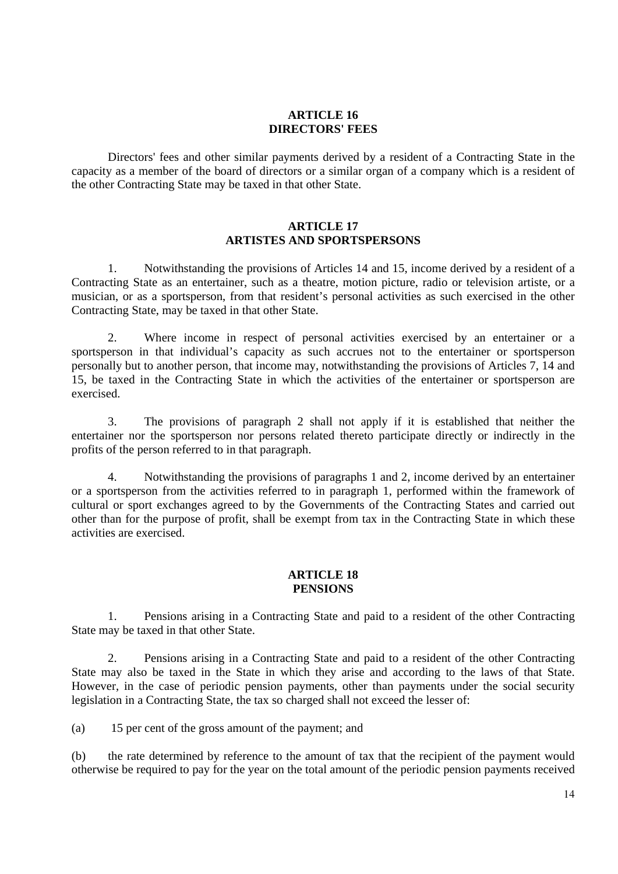#### **ARTICLE 16 DIRECTORS' FEES**

Directors' fees and other similar payments derived by a resident of a Contracting State in the capacity as a member of the board of directors or a similar organ of a company which is a resident of the other Contracting State may be taxed in that other State.

#### **ARTICLE 17 ARTISTES AND SPORTSPERSONS**

1. Notwithstanding the provisions of Articles 14 and 15, income derived by a resident of a Contracting State as an entertainer, such as a theatre, motion picture, radio or television artiste, or a musician, or as a sportsperson, from that resident's personal activities as such exercised in the other Contracting State, may be taxed in that other State.

2. Where income in respect of personal activities exercised by an entertainer or a sportsperson in that individual's capacity as such accrues not to the entertainer or sportsperson personally but to another person, that income may, notwithstanding the provisions of Articles 7, 14 and 15, be taxed in the Contracting State in which the activities of the entertainer or sportsperson are exercised.

3. The provisions of paragraph 2 shall not apply if it is established that neither the entertainer nor the sportsperson nor persons related thereto participate directly or indirectly in the profits of the person referred to in that paragraph.

4. Notwithstanding the provisions of paragraphs 1 and 2, income derived by an entertainer or a sportsperson from the activities referred to in paragraph 1, performed within the framework of cultural or sport exchanges agreed to by the Governments of the Contracting States and carried out other than for the purpose of profit, shall be exempt from tax in the Contracting State in which these activities are exercised.

#### **ARTICLE 18 PENSIONS**

1. Pensions arising in a Contracting State and paid to a resident of the other Contracting State may be taxed in that other State.

2. Pensions arising in a Contracting State and paid to a resident of the other Contracting State may also be taxed in the State in which they arise and according to the laws of that State. However, in the case of periodic pension payments, other than payments under the social security legislation in a Contracting State, the tax so charged shall not exceed the lesser of:

(a) 15 per cent of the gross amount of the payment; and

(b) the rate determined by reference to the amount of tax that the recipient of the payment would otherwise be required to pay for the year on the total amount of the periodic pension payments received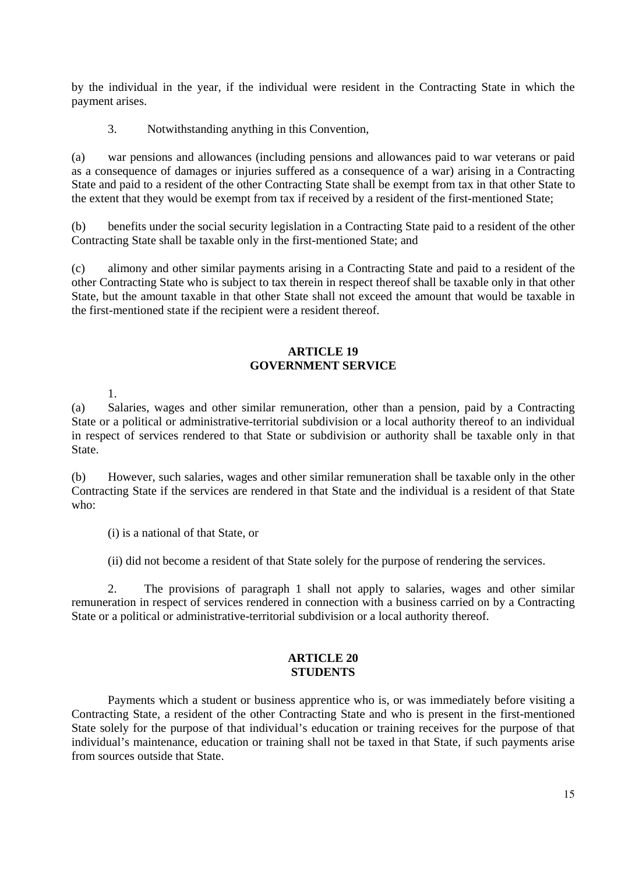by the individual in the year, if the individual were resident in the Contracting State in which the payment arises.

3. Notwithstanding anything in this Convention,

(a) war pensions and allowances (including pensions and allowances paid to war veterans or paid as a consequence of damages or injuries suffered as a consequence of a war) arising in a Contracting State and paid to a resident of the other Contracting State shall be exempt from tax in that other State to the extent that they would be exempt from tax if received by a resident of the first-mentioned State;

(b) benefits under the social security legislation in a Contracting State paid to a resident of the other Contracting State shall be taxable only in the first-mentioned State; and

(c) alimony and other similar payments arising in a Contracting State and paid to a resident of the other Contracting State who is subject to tax therein in respect thereof shall be taxable only in that other State, but the amount taxable in that other State shall not exceed the amount that would be taxable in the first-mentioned state if the recipient were a resident thereof.

# **ARTICLE 19 GOVERNMENT SERVICE**

1.

(a) Salaries, wages and other similar remuneration, other than a pension, paid by a Contracting State or a political or administrative-territorial subdivision or a local authority thereof to an individual in respect of services rendered to that State or subdivision or authority shall be taxable only in that State.

(b) However, such salaries, wages and other similar remuneration shall be taxable only in the other Contracting State if the services are rendered in that State and the individual is a resident of that State who:

(i) is a national of that State, or

(ii) did not become a resident of that State solely for the purpose of rendering the services.

2. The provisions of paragraph 1 shall not apply to salaries, wages and other similar remuneration in respect of services rendered in connection with a business carried on by a Contracting State or a political or administrative-territorial subdivision or a local authority thereof.

#### **ARTICLE 20 STUDENTS**

Payments which a student or business apprentice who is, or was immediately before visiting a Contracting State, a resident of the other Contracting State and who is present in the first-mentioned State solely for the purpose of that individual's education or training receives for the purpose of that individual's maintenance, education or training shall not be taxed in that State, if such payments arise from sources outside that State.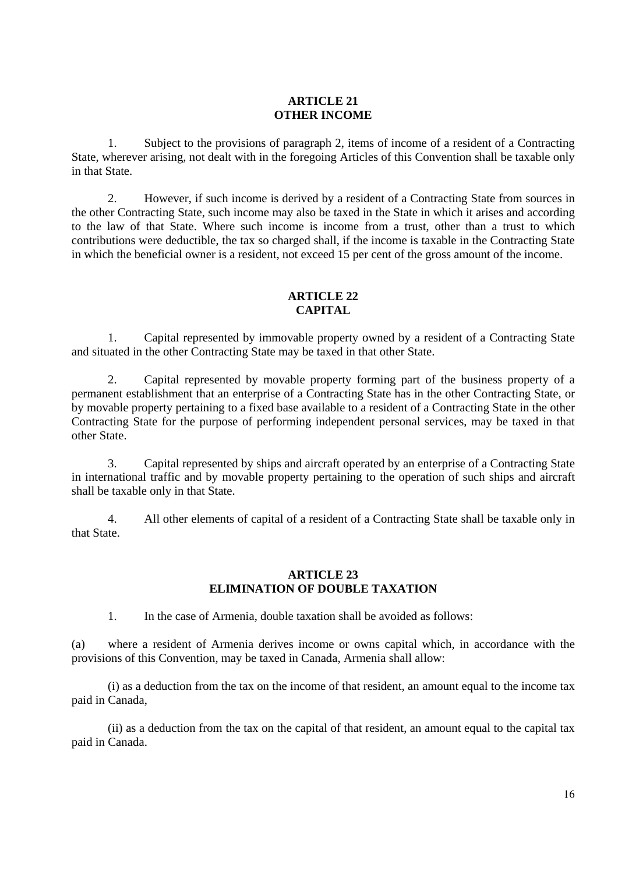# **ARTICLE 21 OTHER INCOME**

1. Subject to the provisions of paragraph 2, items of income of a resident of a Contracting State, wherever arising, not dealt with in the foregoing Articles of this Convention shall be taxable only in that State.

2. However, if such income is derived by a resident of a Contracting State from sources in the other Contracting State, such income may also be taxed in the State in which it arises and according to the law of that State. Where such income is income from a trust, other than a trust to which contributions were deductible, the tax so charged shall, if the income is taxable in the Contracting State in which the beneficial owner is a resident, not exceed 15 per cent of the gross amount of the income.

# **ARTICLE 22 CAPITAL**

1. Capital represented by immovable property owned by a resident of a Contracting State and situated in the other Contracting State may be taxed in that other State.

2. Capital represented by movable property forming part of the business property of a permanent establishment that an enterprise of a Contracting State has in the other Contracting State, or by movable property pertaining to a fixed base available to a resident of a Contracting State in the other Contracting State for the purpose of performing independent personal services, may be taxed in that other State.

3. Capital represented by ships and aircraft operated by an enterprise of a Contracting State in international traffic and by movable property pertaining to the operation of such ships and aircraft shall be taxable only in that State.

4. All other elements of capital of a resident of a Contracting State shall be taxable only in that State.

#### **ARTICLE 23 ELIMINATION OF DOUBLE TAXATION**

1. In the case of Armenia, double taxation shall be avoided as follows:

(a) where a resident of Armenia derives income or owns capital which, in accordance with the provisions of this Convention, may be taxed in Canada, Armenia shall allow:

(i) as a deduction from the tax on the income of that resident, an amount equal to the income tax paid in Canada,

(ii) as a deduction from the tax on the capital of that resident, an amount equal to the capital tax paid in Canada.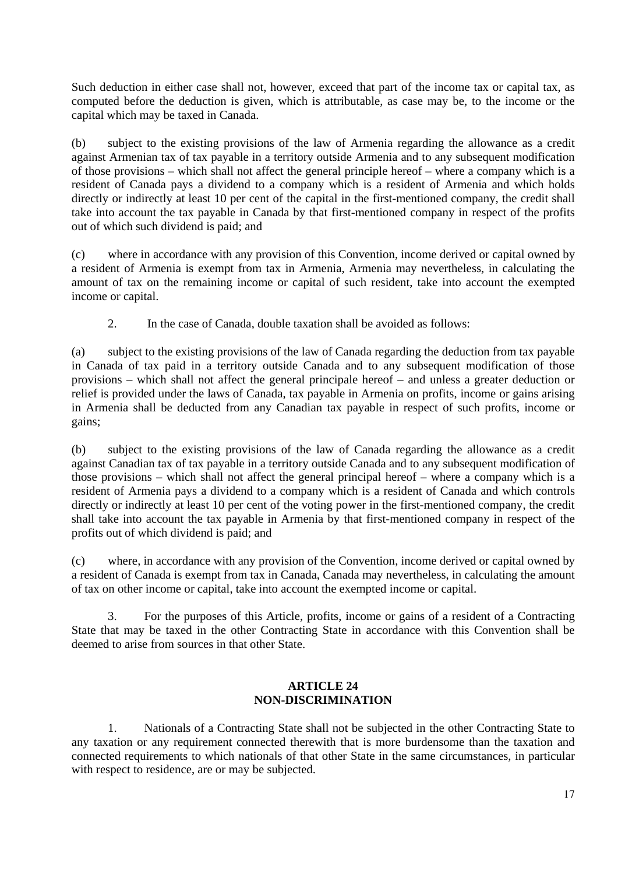Such deduction in either case shall not, however, exceed that part of the income tax or capital tax, as computed before the deduction is given, which is attributable, as case may be, to the income or the capital which may be taxed in Canada.

(b) subject to the existing provisions of the law of Armenia regarding the allowance as a credit against Armenian tax of tax payable in a territory outside Armenia and to any subsequent modification of those provisions – which shall not affect the general principle hereof – where a company which is a resident of Canada pays a dividend to a company which is a resident of Armenia and which holds directly or indirectly at least 10 per cent of the capital in the first-mentioned company, the credit shall take into account the tax payable in Canada by that first-mentioned company in respect of the profits out of which such dividend is paid; and

(c) where in accordance with any provision of this Convention, income derived or capital owned by a resident of Armenia is exempt from tax in Armenia, Armenia may nevertheless, in calculating the amount of tax on the remaining income or capital of such resident, take into account the exempted income or capital.

2. In the case of Canada, double taxation shall be avoided as follows:

(a) subject to the existing provisions of the law of Canada regarding the deduction from tax payable in Canada of tax paid in a territory outside Canada and to any subsequent modification of those provisions – which shall not affect the general principale hereof – and unless a greater deduction or relief is provided under the laws of Canada, tax payable in Armenia on profits, income or gains arising in Armenia shall be deducted from any Canadian tax payable in respect of such profits, income or gains;

(b) subject to the existing provisions of the law of Canada regarding the allowance as a credit against Canadian tax of tax payable in a territory outside Canada and to any subsequent modification of those provisions – which shall not affect the general principal hereof – where a company which is a resident of Armenia pays a dividend to a company which is a resident of Canada and which controls directly or indirectly at least 10 per cent of the voting power in the first-mentioned company, the credit shall take into account the tax payable in Armenia by that first-mentioned company in respect of the profits out of which dividend is paid; and

(c) where, in accordance with any provision of the Convention, income derived or capital owned by a resident of Canada is exempt from tax in Canada, Canada may nevertheless, in calculating the amount of tax on other income or capital, take into account the exempted income or capital.

3. For the purposes of this Article, profits, income or gains of a resident of a Contracting State that may be taxed in the other Contracting State in accordance with this Convention shall be deemed to arise from sources in that other State.

#### **ARTICLE 24 NON-DISCRIMINATION**

1. Nationals of a Contracting State shall not be subjected in the other Contracting State to any taxation or any requirement connected therewith that is more burdensome than the taxation and connected requirements to which nationals of that other State in the same circumstances, in particular with respect to residence, are or may be subjected.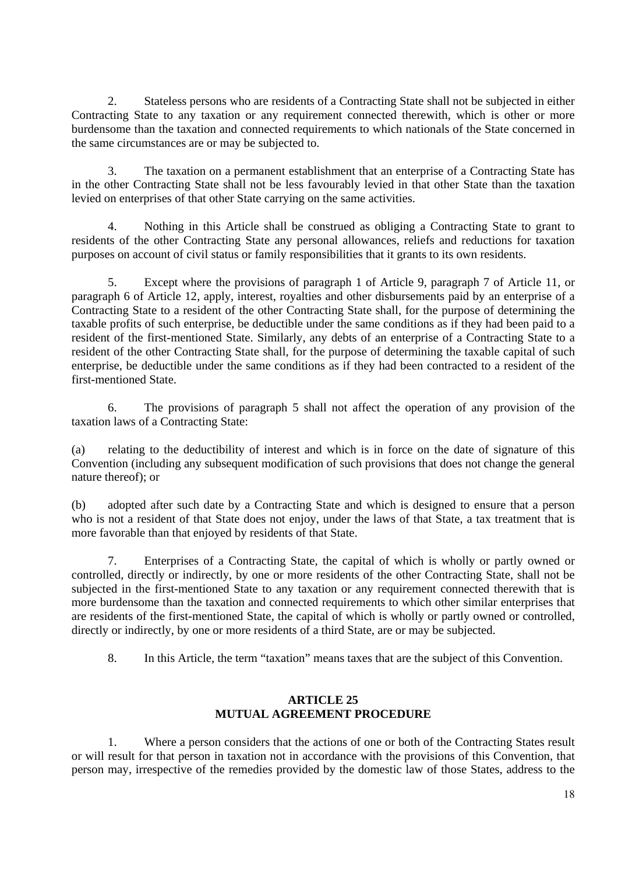2. Stateless persons who are residents of a Contracting State shall not be subjected in either Contracting State to any taxation or any requirement connected therewith, which is other or more burdensome than the taxation and connected requirements to which nationals of the State concerned in the same circumstances are or may be subjected to.

3. The taxation on a permanent establishment that an enterprise of a Contracting State has in the other Contracting State shall not be less favourably levied in that other State than the taxation levied on enterprises of that other State carrying on the same activities.

4. Nothing in this Article shall be construed as obliging a Contracting State to grant to residents of the other Contracting State any personal allowances, reliefs and reductions for taxation purposes on account of civil status or family responsibilities that it grants to its own residents.

5. Except where the provisions of paragraph 1 of Article 9, paragraph 7 of Article 11, or paragraph 6 of Article 12, apply, interest, royalties and other disbursements paid by an enterprise of a Contracting State to a resident of the other Contracting State shall, for the purpose of determining the taxable profits of such enterprise, be deductible under the same conditions as if they had been paid to a resident of the first-mentioned State. Similarly, any debts of an enterprise of a Contracting State to a resident of the other Contracting State shall, for the purpose of determining the taxable capital of such enterprise, be deductible under the same conditions as if they had been contracted to a resident of the first-mentioned State.

6. The provisions of paragraph 5 shall not affect the operation of any provision of the taxation laws of a Contracting State:

(a) relating to the deductibility of interest and which is in force on the date of signature of this Convention (including any subsequent modification of such provisions that does not change the general nature thereof); or

(b) adopted after such date by a Contracting State and which is designed to ensure that a person who is not a resident of that State does not enjoy, under the laws of that State, a tax treatment that is more favorable than that enjoyed by residents of that State.

7. Enterprises of a Contracting State, the capital of which is wholly or partly owned or controlled, directly or indirectly, by one or more residents of the other Contracting State, shall not be subjected in the first-mentioned State to any taxation or any requirement connected therewith that is more burdensome than the taxation and connected requirements to which other similar enterprises that are residents of the first-mentioned State, the capital of which is wholly or partly owned or controlled, directly or indirectly, by one or more residents of a third State, are or may be subjected.

8. In this Article, the term "taxation" means taxes that are the subject of this Convention.

# **ARTICLE 25 MUTUAL AGREEMENT PROCEDURE**

1. Where a person considers that the actions of one or both of the Contracting States result or will result for that person in taxation not in accordance with the provisions of this Convention, that person may, irrespective of the remedies provided by the domestic law of those States, address to the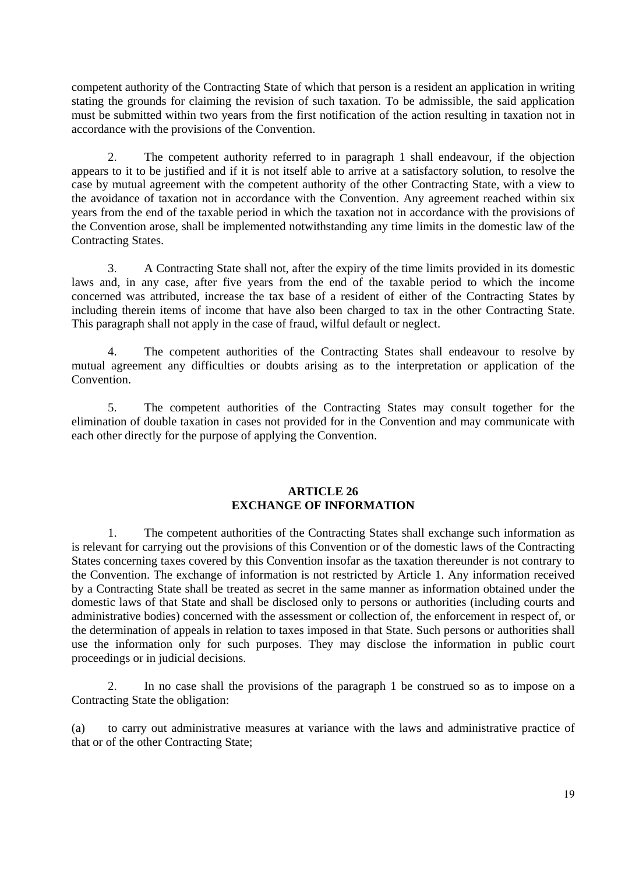competent authority of the Contracting State of which that person is a resident an application in writing stating the grounds for claiming the revision of such taxation. To be admissible, the said application must be submitted within two years from the first notification of the action resulting in taxation not in accordance with the provisions of the Convention.

2. The competent authority referred to in paragraph 1 shall endeavour, if the objection appears to it to be justified and if it is not itself able to arrive at a satisfactory solution, to resolve the case by mutual agreement with the competent authority of the other Contracting State, with a view to the avoidance of taxation not in accordance with the Convention. Any agreement reached within six years from the end of the taxable period in which the taxation not in accordance with the provisions of the Convention arose, shall be implemented notwithstanding any time limits in the domestic law of the Contracting States.

3. A Contracting State shall not, after the expiry of the time limits provided in its domestic laws and, in any case, after five years from the end of the taxable period to which the income concerned was attributed, increase the tax base of a resident of either of the Contracting States by including therein items of income that have also been charged to tax in the other Contracting State. This paragraph shall not apply in the case of fraud, wilful default or neglect.

4. The competent authorities of the Contracting States shall endeavour to resolve by mutual agreement any difficulties or doubts arising as to the interpretation or application of the Convention.

5. The competent authorities of the Contracting States may consult together for the elimination of double taxation in cases not provided for in the Convention and may communicate with each other directly for the purpose of applying the Convention.

#### **ARTICLE 26 EXCHANGE OF INFORMATION**

1. The competent authorities of the Contracting States shall exchange such information as is relevant for carrying out the provisions of this Convention or of the domestic laws of the Contracting States concerning taxes covered by this Convention insofar as the taxation thereunder is not contrary to the Convention. The exchange of information is not restricted by Article 1. Any information received by a Contracting State shall be treated as secret in the same manner as information obtained under the domestic laws of that State and shall be disclosed only to persons or authorities (including courts and administrative bodies) concerned with the assessment or collection of, the enforcement in respect of, or the determination of appeals in relation to taxes imposed in that State. Such persons or authorities shall use the information only for such purposes. They may disclose the information in public court proceedings or in judicial decisions.

2. In no case shall the provisions of the paragraph 1 be construed so as to impose on a Contracting State the obligation:

(a) to carry out administrative measures at variance with the laws and administrative practice of that or of the other Contracting State;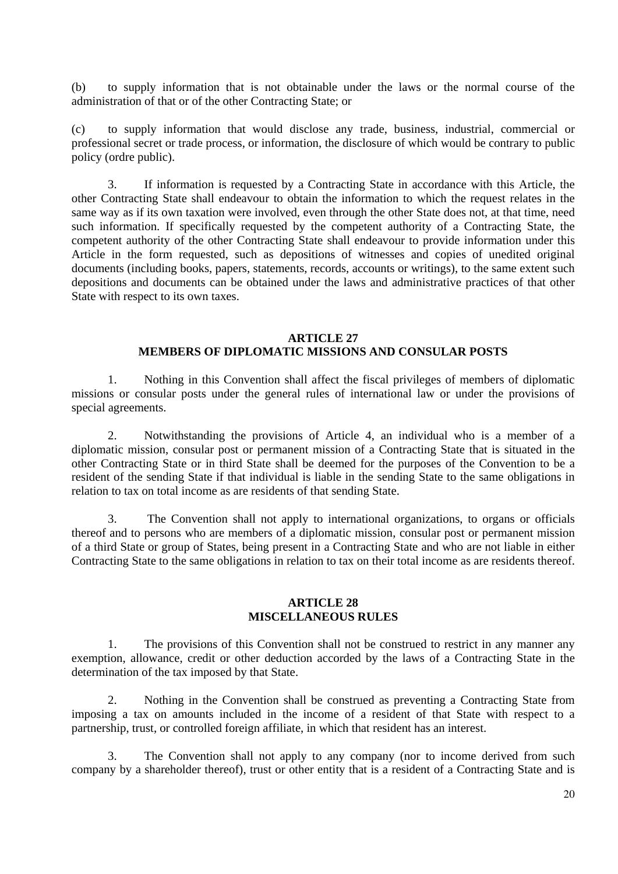(b) to supply information that is not obtainable under the laws or the normal course of the administration of that or of the other Contracting State; or

(c) to supply information that would disclose any trade, business, industrial, commercial or professional secret or trade process, or information, the disclosure of which would be contrary to public policy (ordre public).

3. If information is requested by a Contracting State in accordance with this Article, the other Contracting State shall endeavour to obtain the information to which the request relates in the same way as if its own taxation were involved, even through the other State does not, at that time, need such information. If specifically requested by the competent authority of a Contracting State, the competent authority of the other Contracting State shall endeavour to provide information under this Article in the form requested, such as depositions of witnesses and copies of unedited original documents (including books, papers, statements, records, accounts or writings), to the same extent such depositions and documents can be obtained under the laws and administrative practices of that other State with respect to its own taxes.

#### **ARTICLE 27 MEMBERS OF DIPLOMATIC MISSIONS AND CONSULAR POSTS**

1. Nothing in this Convention shall affect the fiscal privileges of members of diplomatic missions or consular posts under the general rules of international law or under the provisions of special agreements.

2. Notwithstanding the provisions of Article 4, an individual who is a member of a diplomatic mission, consular post or permanent mission of a Contracting State that is situated in the other Contracting State or in third State shall be deemed for the purposes of the Convention to be a resident of the sending State if that individual is liable in the sending State to the same obligations in relation to tax on total income as are residents of that sending State.

3. The Convention shall not apply to international organizations, to organs or officials thereof and to persons who are members of a diplomatic mission, consular post or permanent mission of a third State or group of States, being present in a Contracting State and who are not liable in either Contracting State to the same obligations in relation to tax on their total income as are residents thereof.

#### **ARTICLE 28 MISCELLANEOUS RULES**

1. The provisions of this Convention shall not be construed to restrict in any manner any exemption, allowance, credit or other deduction accorded by the laws of a Contracting State in the determination of the tax imposed by that State.

2. Nothing in the Convention shall be construed as preventing a Contracting State from imposing a tax on amounts included in the income of a resident of that State with respect to a partnership, trust, or controlled foreign affiliate, in which that resident has an interest.

3. The Convention shall not apply to any company (nor to income derived from such company by a shareholder thereof), trust or other entity that is a resident of a Contracting State and is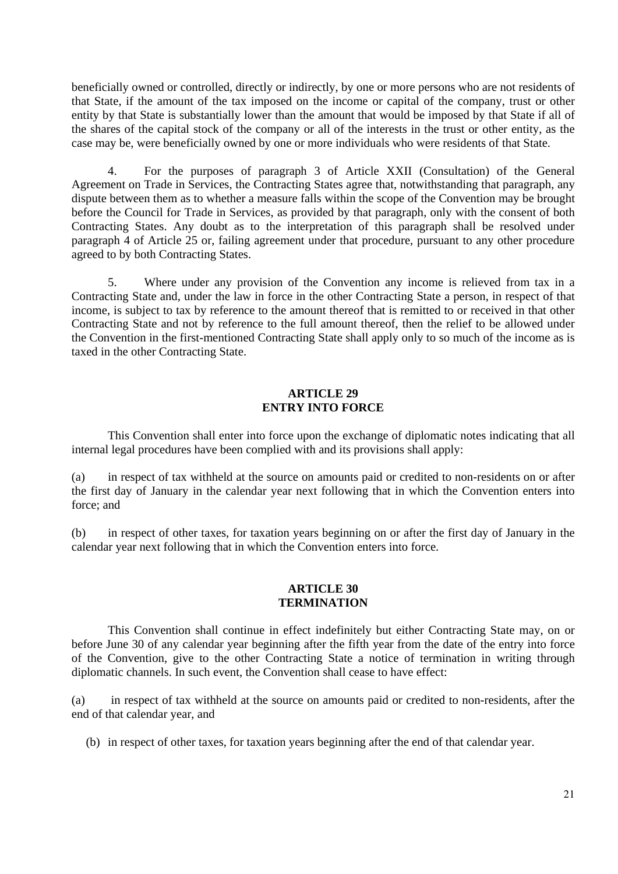beneficially owned or controlled, directly or indirectly, by one or more persons who are not residents of that State, if the amount of the tax imposed on the income or capital of the company, trust or other entity by that State is substantially lower than the amount that would be imposed by that State if all of the shares of the capital stock of the company or all of the interests in the trust or other entity, as the case may be, were beneficially owned by one or more individuals who were residents of that State.

4. For the purposes of paragraph 3 of Article XXII (Consultation) of the General Agreement on Trade in Services, the Contracting States agree that, notwithstanding that paragraph, any dispute between them as to whether a measure falls within the scope of the Convention may be brought before the Council for Trade in Services, as provided by that paragraph, only with the consent of both Contracting States. Any doubt as to the interpretation of this paragraph shall be resolved under paragraph 4 of Article 25 or, failing agreement under that procedure, pursuant to any other procedure agreed to by both Contracting States.

5. Where under any provision of the Convention any income is relieved from tax in a Contracting State and, under the law in force in the other Contracting State a person, in respect of that income, is subject to tax by reference to the amount thereof that is remitted to or received in that other Contracting State and not by reference to the full amount thereof, then the relief to be allowed under the Convention in the first-mentioned Contracting State shall apply only to so much of the income as is taxed in the other Contracting State.

#### **ARTICLE 29 ENTRY INTO FORCE**

This Convention shall enter into force upon the exchange of diplomatic notes indicating that all internal legal procedures have been complied with and its provisions shall apply:

(a) in respect of tax withheld at the source on amounts paid or credited to non-residents on or after the first day of January in the calendar year next following that in which the Convention enters into force; and

(b) in respect of other taxes, for taxation years beginning on or after the first day of January in the calendar year next following that in which the Convention enters into force.

#### **ARTICLE 30 TERMINATION**

This Convention shall continue in effect indefinitely but either Contracting State may, on or before June 30 of any calendar year beginning after the fifth year from the date of the entry into force of the Convention, give to the other Contracting State a notice of termination in writing through diplomatic channels. In such event, the Convention shall cease to have effect:

(a) in respect of tax withheld at the source on amounts paid or credited to non-residents, after the end of that calendar year, and

(b) in respect of other taxes, for taxation years beginning after the end of that calendar year.